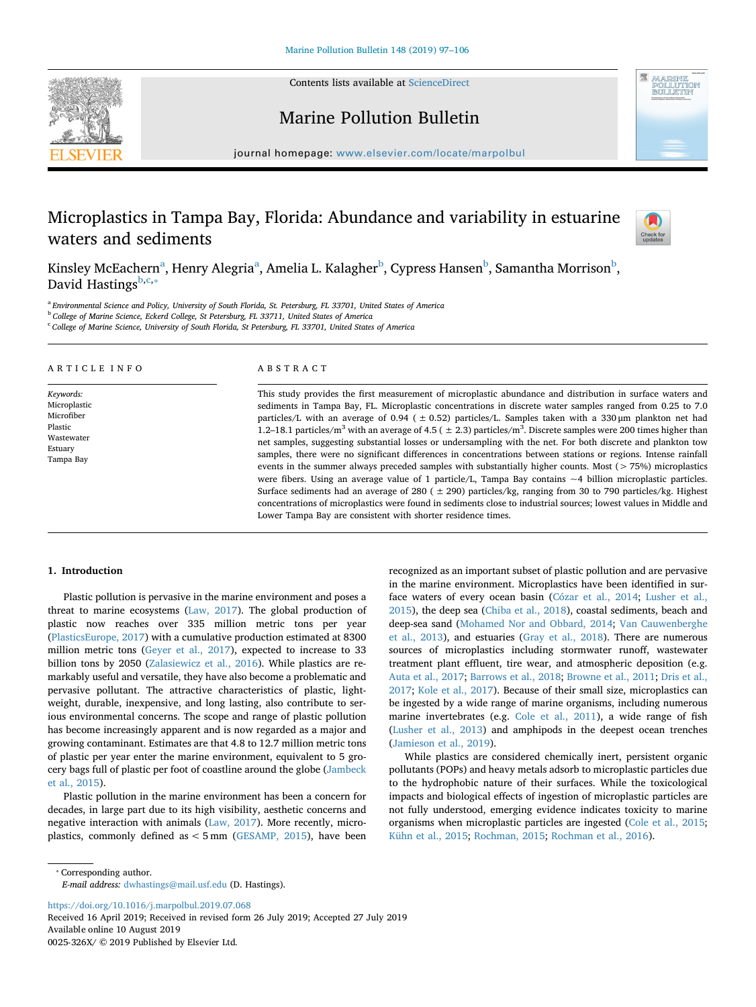Contents lists available at [ScienceDirect](http://www.sciencedirect.com/science/journal/0025326X)





Marine Pollution Bulletin

journal homepage: [www.elsevier.com/locate/marpolbul](https://www.elsevier.com/locate/marpolbul)

# Microplastics in Tampa Bay, Florida: Abundance and variability in estuarine waters and sediments



Kinsley McE[a](#page-0-0)chern<sup>a</sup>, Henry Alegria<sup>a</sup>, Amelia L. Kalagher<sup>[b](#page-0-1)</sup>, Cypress Hansen<sup>b</sup>, Samantha Morrison<sup>b</sup>, David Hastings<sup>[b](#page-0-1)[,c,](#page-0-2)\*</sup>

<span id="page-0-0"></span><sup>a</sup> *Environmental Science and Policy, University of South Florida, St. Petersburg, FL 33701, United States of America*

<span id="page-0-1"></span><sup>b</sup> *College of Marine Science, Eckerd College, St Petersburg, FL 33711, United States of America*

<span id="page-0-2"></span><sup>c</sup> *College of Marine Science, University of South Florida, St Petersburg, FL 33701, United States of America*

#### ARTICLE INFO

*Keywords:* Microplastic Microfiber Plastic **Wastewater** Estuary Tampa Bay

#### ABSTRACT

This study provides the first measurement of microplastic abundance and distribution in surface waters and sediments in Tampa Bay, FL. Microplastic concentrations in discrete water samples ranged from 0.25 to 7.0 particles/L with an average of 0.94 ( $\pm$  0.52) particles/L. Samples taken with a 330  $\mu$ m plankton net had 1.2–18.1 particles/m<sup>3</sup> with an average of 4.5 ( $\pm$  2.3) particles/m<sup>3</sup>. Discrete samples were 200 times higher than net samples, suggesting substantial losses or undersampling with the net. For both discrete and plankton tow samples, there were no significant differences in concentrations between stations or regions. Intense rainfall events in the summer always preceded samples with substantially higher counts. Most ( $> 75\%$ ) microplastics were fibers. Using an average value of 1 particle/L, Tampa Bay contains ~4 billion microplastic particles. Surface sediments had an average of 280 ( $\pm$  290) particles/kg, ranging from 30 to 790 particles/kg. Highest concentrations of microplastics were found in sediments close to industrial sources; lowest values in Middle and Lower Tampa Bay are consistent with shorter residence times.

#### **1. Introduction**

Plastic pollution is pervasive in the marine environment and poses a threat to marine ecosystems [\(Law, 2017](#page-8-0)). The global production of plastic now reaches over 335 million metric tons per year ([PlasticsEurope, 2017](#page-8-1)) with a cumulative production estimated at 8300 million metric tons [\(Geyer et al., 2017\)](#page-8-2), expected to increase to 33 billion tons by 2050 ([Zalasiewicz et al., 2016](#page-9-0)). While plastics are remarkably useful and versatile, they have also become a problematic and pervasive pollutant. The attractive characteristics of plastic, lightweight, durable, inexpensive, and long lasting, also contribute to serious environmental concerns. The scope and range of plastic pollution has become increasingly apparent and is now regarded as a major and growing contaminant. Estimates are that 4.8 to 12.7 million metric tons of plastic per year enter the marine environment, equivalent to 5 grocery bags full of plastic per foot of coastline around the globe ([Jambeck](#page-8-3) [et al., 2015](#page-8-3)).

Plastic pollution in the marine environment has been a concern for decades, in large part due to its high visibility, aesthetic concerns and negative interaction with animals ([Law, 2017](#page-8-0)). More recently, microplastics, commonly defined as < 5 mm [\(GESAMP, 2015\)](#page-8-4), have been recognized as an important subset of plastic pollution and are pervasive in the marine environment. Microplastics have been identified in surface waters of every ocean basin ([Cózar et al., 2014;](#page-8-5) [Lusher et al.,](#page-8-6) [2015\)](#page-8-6), the deep sea ([Chiba et al., 2018](#page-8-7)), coastal sediments, beach and deep-sea sand ([Mohamed Nor and Obbard, 2014;](#page-8-8) [Van Cauwenberghe](#page-8-9) [et al., 2013](#page-8-9)), and estuaries [\(Gray et al., 2018](#page-8-10)). There are numerous sources of microplastics including stormwater runoff, wastewater treatment plant effluent, tire wear, and atmospheric deposition (e.g. [Auta et al., 2017;](#page-8-11) [Barrows et al., 2018](#page-8-12); [Browne et al., 2011](#page-8-13); [Dris et al.,](#page-8-14) [2017;](#page-8-14) [Kole et al., 2017\)](#page-8-15). Because of their small size, microplastics can be ingested by a wide range of marine organisms, including numerous marine invertebrates (e.g. [Cole et al., 2011](#page-8-16)), a wide range of fish ([Lusher et al., 2013](#page-8-17)) and amphipods in the deepest ocean trenches ([Jamieson et al., 2019](#page-8-18)).

While plastics are considered chemically inert, persistent organic pollutants (POPs) and heavy metals adsorb to microplastic particles due to the hydrophobic nature of their surfaces. While the toxicological impacts and biological effects of ingestion of microplastic particles are not fully understood, emerging evidence indicates toxicity to marine organisms when microplastic particles are ingested ([Cole et al., 2015](#page-8-19); [Kühn et al., 2015;](#page-8-20) [Rochman, 2015;](#page-8-21) [Rochman et al., 2016](#page-8-22)).

<span id="page-0-3"></span>⁎ Corresponding author. *E-mail address:* [dwhastings@mail.usf.edu](mailto:dwhastings@mail.usf.edu) (D. Hastings).

<https://doi.org/10.1016/j.marpolbul.2019.07.068>

Received 16 April 2019; Received in revised form 26 July 2019; Accepted 27 July 2019 Available online 10 August 2019 0025-326X/ © 2019 Published by Elsevier Ltd.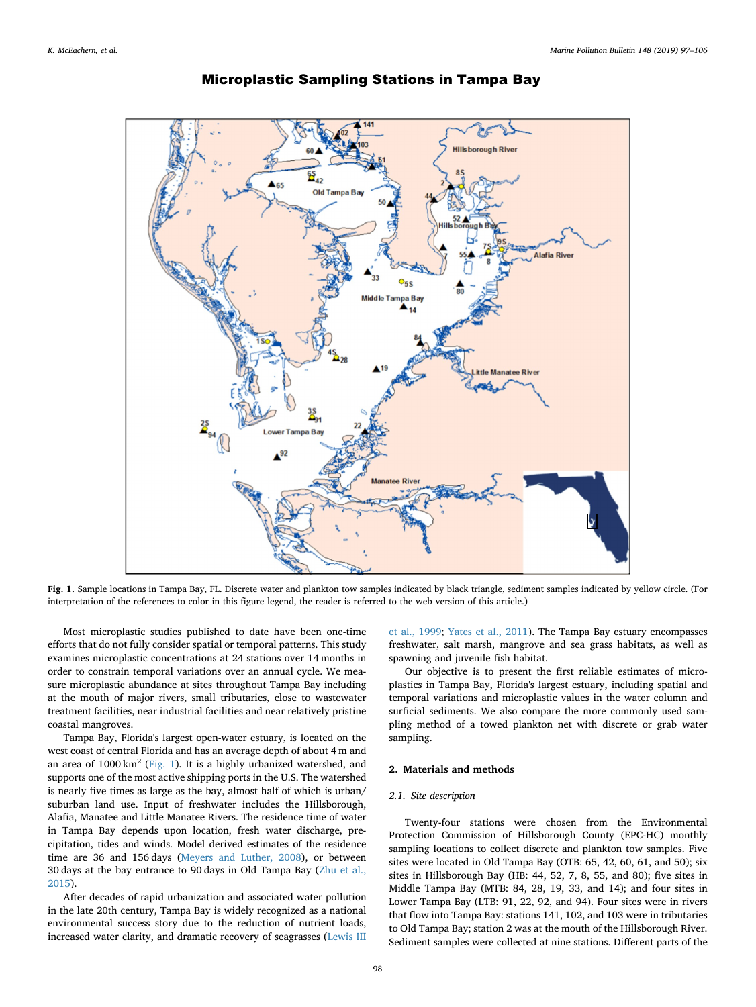<span id="page-1-0"></span>

# Microplastic Sampling Stations in Tampa Bay

**Fig. 1.** Sample locations in Tampa Bay, FL. Discrete water and plankton tow samples indicated by black triangle, sediment samples indicated by yellow circle. (For interpretation of the references to color in this figure legend, the reader is referred to the web version of this article.)

Most microplastic studies published to date have been one-time efforts that do not fully consider spatial or temporal patterns. This study examines microplastic concentrations at 24 stations over 14 months in order to constrain temporal variations over an annual cycle. We measure microplastic abundance at sites throughout Tampa Bay including at the mouth of major rivers, small tributaries, close to wastewater treatment facilities, near industrial facilities and near relatively pristine coastal mangroves.

Tampa Bay, Florida's largest open-water estuary, is located on the west coast of central Florida and has an average depth of about 4 m and an area of  $1000 \text{ km}^2$  [\(Fig. 1](#page-1-0)). It is a highly urbanized watershed, and supports one of the most active shipping ports in the U.S. The watershed is nearly five times as large as the bay, almost half of which is urban/ suburban land use. Input of freshwater includes the Hillsborough, Alafia, Manatee and Little Manatee Rivers. The residence time of water in Tampa Bay depends upon location, fresh water discharge, precipitation, tides and winds. Model derived estimates of the residence time are 36 and 156 days ([Meyers and Luther, 2008\)](#page-8-23), or between 30 days at the bay entrance to 90 days in Old Tampa Bay [\(Zhu et al.,](#page-9-1) [2015\)](#page-9-1).

After decades of rapid urbanization and associated water pollution in the late 20th century, Tampa Bay is widely recognized as a national environmental success story due to the reduction of nutrient loads, increased water clarity, and dramatic recovery of seagrasses [\(Lewis III](#page-8-24) [et al., 1999;](#page-8-24) [Yates et al., 2011](#page-8-25)). The Tampa Bay estuary encompasses freshwater, salt marsh, mangrove and sea grass habitats, as well as spawning and juvenile fish habitat.

Our objective is to present the first reliable estimates of microplastics in Tampa Bay, Florida's largest estuary, including spatial and temporal variations and microplastic values in the water column and surficial sediments. We also compare the more commonly used sampling method of a towed plankton net with discrete or grab water sampling.

# **2. Materials and methods**

## *2.1. Site description*

Twenty-four stations were chosen from the Environmental Protection Commission of Hillsborough County (EPC-HC) monthly sampling locations to collect discrete and plankton tow samples. Five sites were located in Old Tampa Bay (OTB: 65, 42, 60, 61, and 50); six sites in Hillsborough Bay (HB: 44, 52, 7, 8, 55, and 80); five sites in Middle Tampa Bay (MTB: 84, 28, 19, 33, and 14); and four sites in Lower Tampa Bay (LTB: 91, 22, 92, and 94). Four sites were in rivers that flow into Tampa Bay: stations 141, 102, and 103 were in tributaries to Old Tampa Bay; station 2 was at the mouth of the Hillsborough River. Sediment samples were collected at nine stations. Different parts of the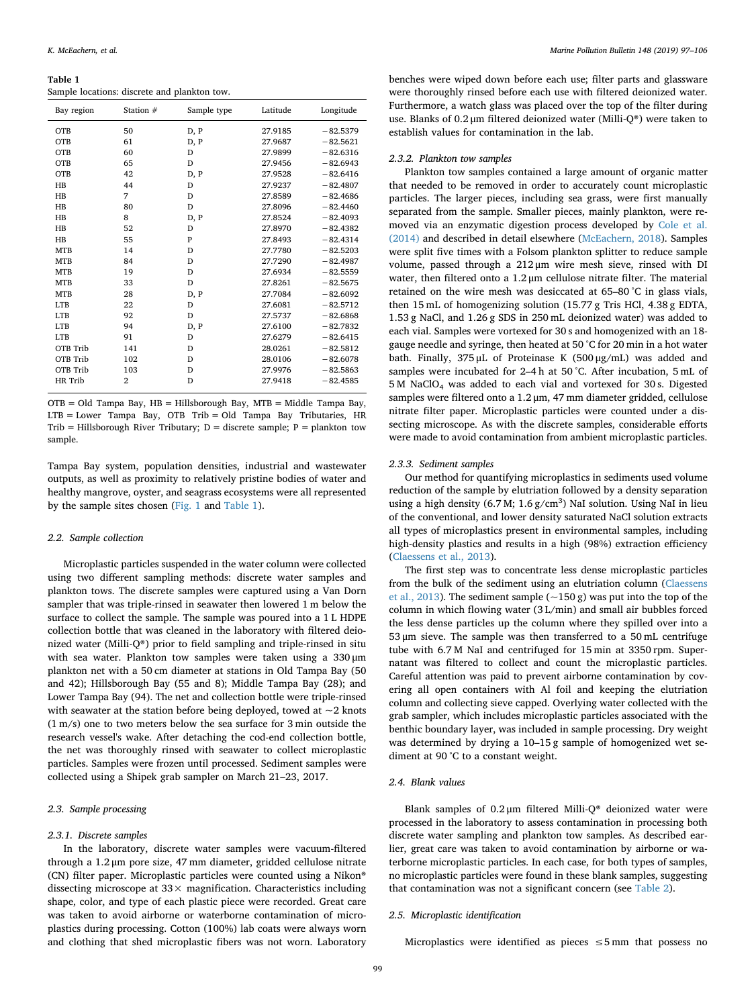<span id="page-2-0"></span>**Table 1**

Sample locations: discrete and plankton tow.

| Bay region | Station # | Sample type | Latitude | Longitude  |
|------------|-----------|-------------|----------|------------|
| OTB        | 50        | D, P        | 27.9185  | $-82.5379$ |
| OTB        | 61        | D, P        | 27.9687  | $-82.5621$ |
| OTB        | 60        | D           | 27.9899  | $-82.6316$ |
| OTB        | 65        | D           | 27.9456  | $-82.6943$ |
| OTB        | 42        | D, P        | 27.9528  | $-82.6416$ |
| H B        | 44        | D           | 27.9237  | $-82.4807$ |
| HB         | 7         | D           | 27.8589  | $-82.4686$ |
| H B        | 80        | D           | 27.8096  | $-82.4460$ |
| H B        | 8         | D, P        | 27.8524  | $-82.4093$ |
| H B        | 52        | D           | 27.8970  | $-82.4382$ |
| H B        | 55        | P           | 27.8493  | $-82.4314$ |
| <b>MTB</b> | 14        | D           | 27.7780  | $-82.5203$ |
| <b>MTB</b> | 84        | D           | 27.7290  | $-82.4987$ |
| <b>MTB</b> | 19        | D           | 27.6934  | $-82.5559$ |
| <b>MTB</b> | 33        | D           | 27.8261  | $-82.5675$ |
| <b>MTB</b> | 28        | D, P        | 27.7084  | $-82.6092$ |
| <b>LTB</b> | 22        | D           | 27.6081  | $-82.5712$ |
| <b>LTB</b> | 92        | D           | 27.5737  | $-82.6868$ |
| <b>LTB</b> | 94        | D, P        | 27.6100  | $-82.7832$ |
| <b>LTB</b> | 91        | D           | 27.6279  | $-82.6415$ |
| OTB Trib   | 141       | D           | 28.0261  | $-82.5812$ |
| OTB Trib   | 102       | D           | 28.0106  | $-82.6078$ |
| OTB Trib   | 103       | D           | 27.9976  | $-82.5863$ |
| HR Trib    | 2         | D           | 27.9418  | $-82.4585$ |
|            |           |             |          |            |

 $OTB = Old$  Tampa Bay,  $HB = Hillsborough$  Bay,  $MTB = Middle$  Tampa Bay, LTB = Lower Tampa Bay, OTB Trib = Old Tampa Bay Tributaries, HR Trib = Hillsborough River Tributary; D = discrete sample; P = plankton tow sample.

Tampa Bay system, population densities, industrial and wastewater outputs, as well as proximity to relatively pristine bodies of water and healthy mangrove, oyster, and seagrass ecosystems were all represented by the sample sites chosen [\(Fig. 1](#page-1-0) and [Table 1](#page-2-0)).

## *2.2. Sample collection*

Microplastic particles suspended in the water column were collected using two different sampling methods: discrete water samples and plankton tows. The discrete samples were captured using a Van Dorn sampler that was triple-rinsed in seawater then lowered 1 m below the surface to collect the sample. The sample was poured into a 1 L HDPE collection bottle that was cleaned in the laboratory with filtered deionized water (Milli-Q®) prior to field sampling and triple-rinsed in situ with sea water. Plankton tow samples were taken using a 330 μm plankton net with a 50 cm diameter at stations in Old Tampa Bay (50 and 42); Hillsborough Bay (55 and 8); Middle Tampa Bay (28); and Lower Tampa Bay (94). The net and collection bottle were triple-rinsed with seawater at the station before being deployed, towed at  $\sim$ 2 knots (1 m/s) one to two meters below the sea surface for 3 min outside the research vessel's wake. After detaching the cod-end collection bottle, the net was thoroughly rinsed with seawater to collect microplastic particles. Samples were frozen until processed. Sediment samples were collected using a Shipek grab sampler on March 21–23, 2017.

#### *2.3. Sample processing*

## *2.3.1. Discrete samples*

In the laboratory, discrete water samples were vacuum-filtered through a 1.2 μm pore size, 47 mm diameter, gridded cellulose nitrate (CN) filter paper. Microplastic particles were counted using a Nikon® dissecting microscope at  $33 \times$  magnification. Characteristics including shape, color, and type of each plastic piece were recorded. Great care was taken to avoid airborne or waterborne contamination of microplastics during processing. Cotton (100%) lab coats were always worn and clothing that shed microplastic fibers was not worn. Laboratory

benches were wiped down before each use; filter parts and glassware were thoroughly rinsed before each use with filtered deionized water. Furthermore, a watch glass was placed over the top of the filter during use. Blanks of 0.2 μm filtered deionized water (Milli-Q®) were taken to establish values for contamination in the lab.

#### *2.3.2. Plankton tow samples*

Plankton tow samples contained a large amount of organic matter that needed to be removed in order to accurately count microplastic particles. The larger pieces, including sea grass, were first manually separated from the sample. Smaller pieces, mainly plankton, were removed via an enzymatic digestion process developed by [Cole et al.](#page-8-26) [\(2014\)](#page-8-26) and described in detail elsewhere ([McEachern, 2018\)](#page-8-27). Samples were split five times with a Folsom plankton splitter to reduce sample volume, passed through a 212 μm wire mesh sieve, rinsed with DI water, then filtered onto a 1.2 μm cellulose nitrate filter. The material retained on the wire mesh was desiccated at 65–80 °C in glass vials, then 15 mL of homogenizing solution (15.77 g Tris HCl, 4.38 g EDTA, 1.53 g NaCl, and 1.26 g SDS in 250 mL deionized water) was added to each vial. Samples were vortexed for 30 s and homogenized with an 18 gauge needle and syringe, then heated at 50 °C for 20 min in a hot water bath. Finally, 375 μL of Proteinase K (500 μg/mL) was added and samples were incubated for 2–4 h at 50 °C. After incubation, 5 mL of 5 M NaClO4 was added to each vial and vortexed for 30 s. Digested samples were filtered onto a 1.2 μm, 47 mm diameter gridded, cellulose nitrate filter paper. Microplastic particles were counted under a dissecting microscope. As with the discrete samples, considerable efforts were made to avoid contamination from ambient microplastic particles.

## *2.3.3. Sediment samples*

Our method for quantifying microplastics in sediments used volume reduction of the sample by elutriation followed by a density separation using a high density (6.7 M;  $1.6$  g/cm<sup>3</sup>) NaI solution. Using NaI in lieu of the conventional, and lower density saturated NaCl solution extracts all types of microplastics present in environmental samples, including high-density plastics and results in a high (98%) extraction efficiency ([Claessens et al., 2013](#page-8-28)).

The first step was to concentrate less dense microplastic particles from the bulk of the sediment using an elutriation column [\(Claessens](#page-8-28) [et al., 2013](#page-8-28)). The sediment sample  $(-150 g)$  was put into the top of the column in which flowing water (3 L/min) and small air bubbles forced the less dense particles up the column where they spilled over into a 53 μm sieve. The sample was then transferred to a 50 mL centrifuge tube with 6.7 M NaI and centrifuged for 15 min at 3350 rpm. Supernatant was filtered to collect and count the microplastic particles. Careful attention was paid to prevent airborne contamination by covering all open containers with Al foil and keeping the elutriation column and collecting sieve capped. Overlying water collected with the grab sampler, which includes microplastic particles associated with the benthic boundary layer, was included in sample processing. Dry weight was determined by drying a 10–15 g sample of homogenized wet sediment at 90 °C to a constant weight.

## *2.4. Blank values*

Blank samples of  $0.2 \mu m$  filtered Milli-Q® deionized water were processed in the laboratory to assess contamination in processing both discrete water sampling and plankton tow samples. As described earlier, great care was taken to avoid contamination by airborne or waterborne microplastic particles. In each case, for both types of samples, no microplastic particles were found in these blank samples, suggesting that contamination was not a significant concern (see [Table 2](#page-3-0)).

#### *2.5. Microplastic identification*

Microplastics were identified as pieces  $\leq$  5 mm that possess no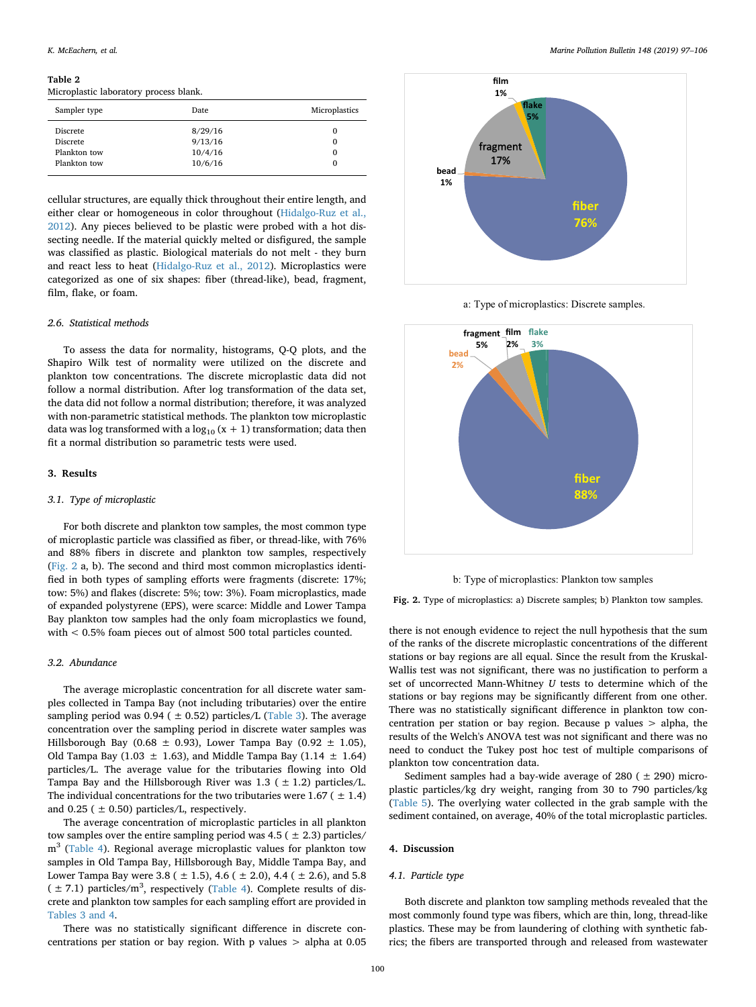#### <span id="page-3-0"></span>**Table 2**

Microplastic laboratory process blank.

| Sampler type    | Date    | Microplastics |  |  |
|-----------------|---------|---------------|--|--|
| <b>Discrete</b> | 8/29/16 | 0             |  |  |
| <b>Discrete</b> | 9/13/16 | 0             |  |  |
| Plankton tow    | 10/4/16 | 0             |  |  |
| Plankton tow    | 10/6/16 | 0             |  |  |

cellular structures, are equally thick throughout their entire length, and either clear or homogeneous in color throughout [\(Hidalgo-Ruz et al.,](#page-8-29) [2012\)](#page-8-29). Any pieces believed to be plastic were probed with a hot dissecting needle. If the material quickly melted or disfigured, the sample was classified as plastic. Biological materials do not melt - they burn and react less to heat [\(Hidalgo-Ruz et al., 2012\)](#page-8-29). Microplastics were categorized as one of six shapes: fiber (thread-like), bead, fragment, film, flake, or foam.

#### *2.6. Statistical methods*

To assess the data for normality, histograms, Q-Q plots, and the Shapiro Wilk test of normality were utilized on the discrete and plankton tow concentrations. The discrete microplastic data did not follow a normal distribution. After log transformation of the data set, the data did not follow a normal distribution; therefore, it was analyzed with non-parametric statistical methods. The plankton tow microplastic data was log transformed with a  $log_{10} (x + 1)$  transformation; data then fit a normal distribution so parametric tests were used.

#### **3. Results**

## *3.1. Type of microplastic*

For both discrete and plankton tow samples, the most common type of microplastic particle was classified as fiber, or thread-like, with 76% and 88% fibers in discrete and plankton tow samples, respectively ([Fig. 2](#page-3-1) a, b). The second and third most common microplastics identified in both types of sampling efforts were fragments (discrete: 17%; tow: 5%) and flakes (discrete: 5%; tow: 3%). Foam microplastics, made of expanded polystyrene (EPS), were scarce: Middle and Lower Tampa Bay plankton tow samples had the only foam microplastics we found, with < 0.5% foam pieces out of almost 500 total particles counted.

## *3.2. Abundance*

The average microplastic concentration for all discrete water samples collected in Tampa Bay (not including tributaries) over the entire sampling period was 0.94 ( $\pm$  0.52) particles/L ([Table 3\)](#page-4-0). The average concentration over the sampling period in discrete water samples was Hillsborough Bay (0.68  $\pm$  0.93), Lower Tampa Bay (0.92  $\pm$  1.05), Old Tampa Bay (1.03  $\pm$  1.63), and Middle Tampa Bay (1.14  $\pm$  1.64) particles/L. The average value for the tributaries flowing into Old Tampa Bay and the Hillsborough River was  $1.3$  ( $\pm$  1.2) particles/L. The individual concentrations for the two tributaries were 1.67 ( $\pm$  1.4) and 0.25 ( $\pm$  0.50) particles/L, respectively.

The average concentration of microplastic particles in all plankton tow samples over the entire sampling period was  $4.5$  ( $\pm$  2.3) particles/ m<sup>3</sup> [\(Table 4](#page-4-1)). Regional average microplastic values for plankton tow samples in Old Tampa Bay, Hillsborough Bay, Middle Tampa Bay, and Lower Tampa Bay were 3.8 ( $\pm$  1.5), 4.6 ( $\pm$  2.0), 4.4 ( $\pm$  2.6), and 5.8  $($   $\pm$  7.1) particles/m<sup>3</sup>, respectively [\(Table 4](#page-4-1)). Complete results of discrete and plankton tow samples for each sampling effort are provided in [Tables 3 and 4](#page-4-0).

There was no statistically significant difference in discrete concentrations per station or bay region. With p values > alpha at 0.05

<span id="page-3-1"></span>

a: Type of microplastics: Discrete samples.



b: Type of microplastics: Plankton tow samples

**Fig. 2.** Type of microplastics: a) Discrete samples; b) Plankton tow samples.

there is not enough evidence to reject the null hypothesis that the sum of the ranks of the discrete microplastic concentrations of the different stations or bay regions are all equal. Since the result from the Kruskal-Wallis test was not significant, there was no justification to perform a set of uncorrected Mann-Whitney *U* tests to determine which of the stations or bay regions may be significantly different from one other. There was no statistically significant difference in plankton tow concentration per station or bay region. Because p values > alpha, the results of the Welch's ANOVA test was not significant and there was no need to conduct the Tukey post hoc test of multiple comparisons of plankton tow concentration data.

Sediment samples had a bay-wide average of  $280$  ( $\pm$  290) microplastic particles/kg dry weight, ranging from 30 to 790 particles/kg ([Table 5\)](#page-5-0). The overlying water collected in the grab sample with the sediment contained, on average, 40% of the total microplastic particles.

## **4. Discussion**

#### *4.1. Particle type*

Both discrete and plankton tow sampling methods revealed that the most commonly found type was fibers, which are thin, long, thread-like plastics. These may be from laundering of clothing with synthetic fabrics; the fibers are transported through and released from wastewater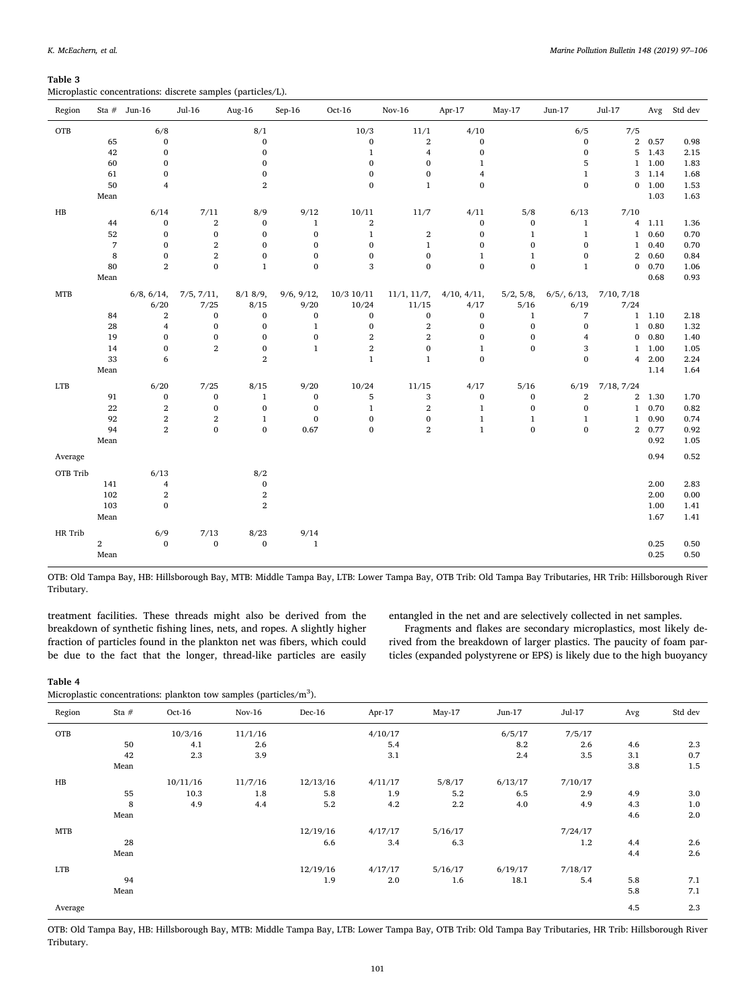<span id="page-4-0"></span>

| Table 3 |                                                              |
|---------|--------------------------------------------------------------|
|         | Microplastic concentrations: discrete samples (particles/L). |

| Region     |                         | Sta $#$ Jun-16 | $Jul-16$                | Aug-16           | $Sep-16$     | $Oct-16$         | $Nov-16$                | Apr- $17$        | $May-17$     | $Jun-17$          | $Jul-17$       |                | Avg Std dev |
|------------|-------------------------|----------------|-------------------------|------------------|--------------|------------------|-------------------------|------------------|--------------|-------------------|----------------|----------------|-------------|
| OTB        |                         | 6/8            |                         | 8/1              |              | 10/3             | 11/1                    | 4/10             |              | 6/5               | 7/5            |                |             |
|            | 65                      | $\bf{0}$       |                         | $\bf{0}$         |              | $\bf{0}$         | $\boldsymbol{2}$        | $\bf{0}$         |              | $\bf{0}$          | $\overline{2}$ | 0.57           | 0.98        |
|            | 42                      | $\mathbf{0}$   |                         | $\mathbf{0}$     |              | $\mathbf{1}$     | $\overline{4}$          | $\mathbf 0$      |              | $\mathbf 0$       | 5              | 1.43           | 2.15        |
|            | 60                      | $\bf{0}$       |                         | $\bf{0}$         |              | $\mathbf{0}$     | $\bf{0}$                | $\mathbf{1}$     |              | 5                 |                | $1 \quad 1.00$ | 1.83        |
|            | 61                      | $\bf{0}$       |                         | $\bf{0}$         |              | 0                | $\bf{0}$                | $\overline{4}$   |              | $\mathbf{1}$      | 3              | 1.14           | 1.68        |
|            | 50                      | $\overline{4}$ |                         | $\overline{2}$   |              | $\mathbf 0$      | $\mathbf{1}$            | $\mathbf 0$      |              | $\bf{0}$          |                | 0 1.00         | 1.53        |
|            | Mean                    |                |                         |                  |              |                  |                         |                  |              |                   |                | 1.03           | 1.63        |
| H B        |                         | 6/14           | 7/11                    | 8/9              | 9/12         | 10/11            | 11/7                    | 4/11             | 5/8          | 6/13              | 7/10           |                |             |
|            | 44                      | $\mathbf{0}$   | $\boldsymbol{2}$        | $\mathbf{0}$     | $\mathbf{1}$ | $\boldsymbol{2}$ |                         | $\boldsymbol{0}$ | $\bf{0}$     | $\mathbf{1}$      |                | 4 1.11         | 1.36        |
|            | 52                      | $\mathbf{0}$   | $\bf{0}$                | $\bf{0}$         | $\bf{0}$     | $\mathbf{1}$     | $\overline{\mathbf{2}}$ | $\mathbf 0$      | $\mathbf{1}$ | $\mathbf 1$       | $\mathbf{1}$   | 0.60           | 0.70        |
|            | $\overline{7}$          | $\mathbf{0}$   | $\overline{2}$          | $\mathbf{0}$     | $\mathbf{0}$ | $\mathbf 0$      | $1\,$                   | $\mathbf 0$      | $\bf{0}$     | $\mathbf 0$       | $\mathbf{1}$   | 0.40           | 0.70        |
|            | 8                       | $\bf{0}$       | $\overline{\mathbf{2}}$ | $\bf{0}$         | $\mathbf{0}$ | $\mathbf 0$      | $\bf{0}$                | $\mathbf{1}$     | $\mathbf{1}$ | $\mathbf 0$       | $\overline{2}$ | 0.60           | 0.84        |
|            | 80                      | $\overline{2}$ | $\mathbf{0}$            | $\mathbf{1}$     | $\mathbf{0}$ | 3                | $\mathbf 0$             | $\boldsymbol{0}$ | $\mathbf{0}$ | $\mathbf{1}$      |                | $0\quad 0.70$  | 1.06        |
|            | Mean                    |                |                         |                  |              |                  |                         |                  |              |                   |                | 0.68           | 0.93        |
| <b>MTB</b> |                         | 6/8, 6/14,     | 7/5, 7/11,              | $8/1$ $8/9$ ,    | 9/6, 9/12,   | 10/3 10/11       | 11/1, 11/7,             | 4/10, 4/11,      | 5/2, 5/8,    | $6/5/$ , $6/13$ , | 7/10, 7/18     |                |             |
|            |                         | 6/20           | 7/25                    | 8/15             | 9/20         | 10/24            | 11/15                   | 4/17             | 5/16         | 6/19              | 7/24           |                |             |
|            | 84                      | $\mathbf{2}$   | $\mathbf{0}$            | $\bf{0}$         | $\bf{0}$     | $\boldsymbol{0}$ | $\boldsymbol{0}$        | $\bf{0}$         | $\mathbf{1}$ | 7                 |                | $1 \quad 1.10$ | 2.18        |
|            | 28                      | $\overline{4}$ | $\mathbf{0}$            | $\mathbf{0}$     | $\mathbf{1}$ | $\boldsymbol{0}$ | $\overline{2}$          | $\mathbf{0}$     | $\bf{0}$     | $\mathbf 0$       | $\mathbf{1}$   | 0.80           | 1.32        |
|            | 19                      | $\mathbf{0}$   | $\mathbf{0}$            | $\mathbf{0}$     | $\mathbf{0}$ | $\boldsymbol{2}$ | $\overline{2}$          | $\mathbf{0}$     | $\mathbf{0}$ | $\overline{4}$    | $\mathbf{0}$   | 0.80           | 1.40        |
|            | 14                      | $\bf{0}$       | $\overline{2}$          | $\bf{0}$         | $\mathbf{1}$ | $\overline{2}$   | $\bf{0}$                | $\mathbf{1}$     | $\mathbf{0}$ | 3                 | $\mathbf{1}$   | 1.00           | 1.05        |
|            | 33                      | 6              |                         | $\overline{2}$   |              | $\mathbf{1}$     | $1\,$                   | $\boldsymbol{0}$ |              | $\bf{0}$          | 4              | 2.00           | 2.24        |
|            | Mean                    |                |                         |                  |              |                  |                         |                  |              |                   |                | 1.14           | 1.64        |
| LTB        |                         | 6/20           | 7/25                    | 8/15             | 9/20         | 10/24            | 11/15                   | 4/17             | 5/16         | 6/19              | 7/18, 7/24     |                |             |
|            | 91                      | $\bf{0}$       | $\bf{0}$                | $\mathbf 1$      | $\bf{0}$     | 5                | 3                       | $\boldsymbol{0}$ | $\bf{0}$     | $\,2$             |                | 2 1.30         | 1.70        |
|            | 22                      | $\,2$          | $\bf{0}$                | $\boldsymbol{0}$ | $\bf{0}$     | $\mathbf{1}$     | $\boldsymbol{2}$        | $1\,$            | $\bf{0}$     | $\bf{0}$          | $\mathbf{1}$   | 0.70           | 0.82        |
|            | 92                      | $\overline{2}$ | $\mathbf{2}$            | 1                | $\bf{0}$     | $\boldsymbol{0}$ | $\bf{0}$                | $\mathbf{1}$     | $\mathbf{1}$ | $\mathbf{1}$      | $\mathbf{1}$   | 0.90           | 0.74        |
|            | 94                      | $\overline{2}$ | $\mathbf{0}$            | $\mathbf{0}$     | 0.67         | $\mathbf{0}$     | $\overline{2}$          | $\mathbf{1}$     | $\mathbf{0}$ | $\mathbf 0$       |                | 2 0.77         | 0.92        |
|            | Mean                    |                |                         |                  |              |                  |                         |                  |              |                   |                | 0.92           | 1.05        |
| Average    |                         |                |                         |                  |              |                  |                         |                  |              |                   |                | 0.94           | 0.52        |
| OTB Trib   |                         | 6/13           |                         | 8/2              |              |                  |                         |                  |              |                   |                |                |             |
|            | 141                     | $\overline{4}$ |                         | $\boldsymbol{0}$ |              |                  |                         |                  |              |                   |                | 2.00           | 2.83        |
|            | 102                     | $\,2$          |                         | $\,2$            |              |                  |                         |                  |              |                   |                | 2.00           | 0.00        |
|            | 103                     | $\bf{0}$       |                         | $\overline{2}$   |              |                  |                         |                  |              |                   |                | 1.00           | 1.41        |
|            | Mean                    |                |                         |                  |              |                  |                         |                  |              |                   |                | 1.67           | 1.41        |
| HR Trib    |                         | 6/9            | 7/13                    | 8/23             | 9/14         |                  |                         |                  |              |                   |                |                |             |
|            | $\overline{\mathbf{2}}$ | $\mathbf{0}$   | $\bf{0}$                | $\bf{0}$         | $\mathbf{1}$ |                  |                         |                  |              |                   |                | 0.25           | 0.50        |
|            | Mean                    |                |                         |                  |              |                  |                         |                  |              |                   |                | 0.25           | 0.50        |

OTB: Old Tampa Bay, HB: Hillsborough Bay, MTB: Middle Tampa Bay, LTB: Lower Tampa Bay, OTB Trib: Old Tampa Bay Tributaries, HR Trib: Hillsborough River Tributary.

treatment facilities. These threads might also be derived from the breakdown of synthetic fishing lines, nets, and ropes. A slightly higher fraction of particles found in the plankton net was fibers, which could be due to the fact that the longer, thread-like particles are easily entangled in the net and are selectively collected in net samples.

Fragments and flakes are secondary microplastics, most likely derived from the breakdown of larger plastics. The paucity of foam particles (expanded polystyrene or EPS) is likely due to the high buoyancy

<span id="page-4-1"></span>**Table 4**

| Region  | Sta $#$ | Oct-16   | $Nov-16$ | Dec-16   | Apr-17  | $May-17$ | Jun-17  | Jul-17  | Avg | Std dev |
|---------|---------|----------|----------|----------|---------|----------|---------|---------|-----|---------|
| OTB     |         | 10/3/16  | 11/1/16  |          | 4/10/17 |          | 6/5/17  | 7/5/17  |     |         |
|         | 50      | 4.1      | 2.6      |          | 5.4     |          | 8.2     | 2.6     | 4.6 | 2.3     |
|         | 42      | 2.3      | 3.9      |          | 3.1     |          | 2.4     | 3.5     | 3.1 | 0.7     |
|         | Mean    |          |          |          |         |          |         |         | 3.8 | 1.5     |
| H B     |         | 10/11/16 | 11/7/16  | 12/13/16 | 4/11/17 | 5/8/17   | 6/13/17 | 7/10/17 |     |         |
|         | 55      | 10.3     | 1.8      | 5.8      | 1.9     | 5.2      | 6.5     | 2.9     | 4.9 | 3.0     |
|         | 8       | 4.9      | 4.4      | 5.2      | 4.2     | $2.2\,$  | 4.0     | 4.9     | 4.3 | 1.0     |
|         | Mean    |          |          |          |         |          |         |         | 4.6 | 2.0     |
| MTB     |         |          |          | 12/19/16 | 4/17/17 | 5/16/17  |         | 7/24/17 |     |         |
|         | 28      |          |          | 6.6      | 3.4     | 6.3      |         | 1.2     | 4.4 | 2.6     |
|         | Mean    |          |          |          |         |          |         |         | 4.4 | 2.6     |
| LTB     |         |          |          | 12/19/16 | 4/17/17 | 5/16/17  | 6/19/17 | 7/18/17 |     |         |
|         | 94      |          |          | 1.9      | 2.0     | 1.6      | 18.1    | 5.4     | 5.8 | 7.1     |
|         | Mean    |          |          |          |         |          |         |         | 5.8 | 7.1     |
| Average |         |          |          |          |         |          |         |         | 4.5 | 2.3     |

OTB: Old Tampa Bay, HB: Hillsborough Bay, MTB: Middle Tampa Bay, LTB: Lower Tampa Bay, OTB Trib: Old Tampa Bay Tributaries, HR Trib: Hillsborough River Tributary.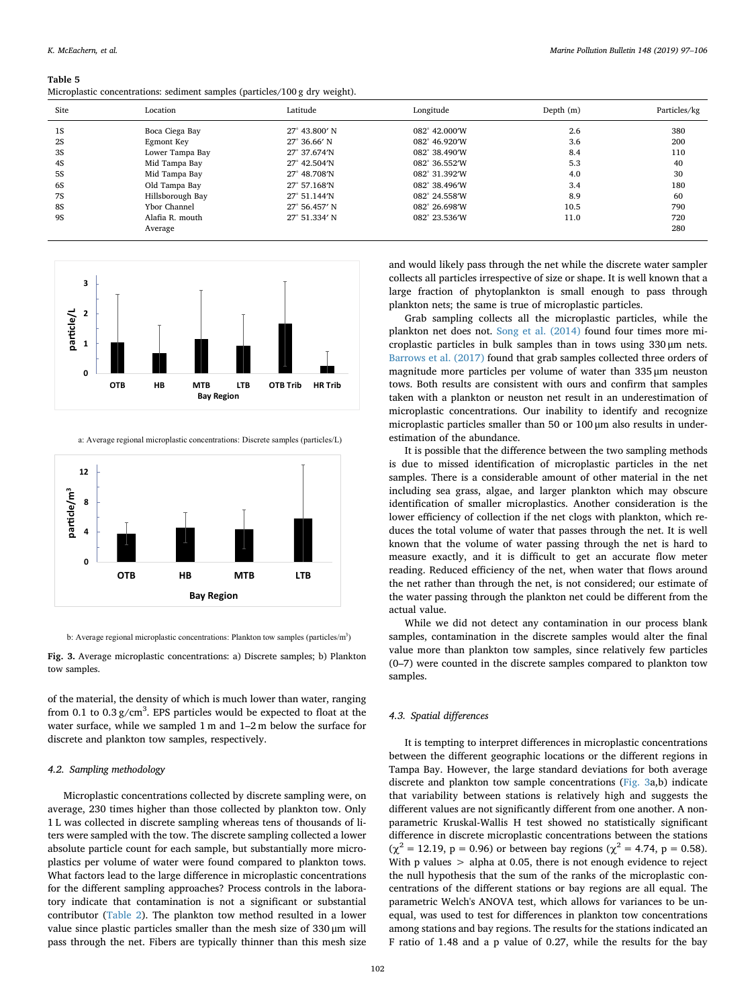## <span id="page-5-0"></span>**Table 5** Microplastic concentrations: sediment samples (particles/100 g dry weight).

| Site      | Location         | Latitude                          | Longitude              | Depth (m) | Particles/kg |
|-----------|------------------|-----------------------------------|------------------------|-----------|--------------|
| <b>1S</b> | Boca Ciega Bay   | $27^{\circ}$ 43.800 $^{\prime}$ N | $082^{\circ}$ 42,000 W | 2.6       | 380          |
| <b>2S</b> | Egmont Key       | $27^{\circ}$ 36.66 $^{\prime}$ N  | 082° 46.920'W          | 3.6       | 200          |
| 3S        | Lower Tampa Bay  | 27° 37.674'N                      | 082° 38.490'W          | 8.4       | 110          |
| 4S        | Mid Tampa Bay    | 27° 42.504'N                      | 082° 36.552′W          | 5.3       | 40           |
| <b>5S</b> | Mid Tampa Bay    | 27° 48.708'N                      | 082° 31.3927W          | 4.0       | 30           |
| 6S        | Old Tampa Bay    | 27° 57.168'N                      | 082° 38.496′W          | 3.4       | 180          |
| <b>7S</b> | Hillsborough Bay | 27° 51.144'N                      | 082° 24.558′W          | 8.9       | 60           |
| <b>8S</b> | Ybor Channel     | 27° 56.457' N                     | 082° 26.698'W          | 10.5      | 790          |
| <b>9S</b> | Alafia R. mouth  | 27° 51.334′ N                     | 082° 23.536′W          | 11.0      | 720          |
|           | Average          |                                   |                        |           | 280          |
|           |                  |                                   |                        |           |              |

<span id="page-5-1"></span>

a: Average regional microplastic concentrations: Discrete samples (particles/L)



b: Average regional microplastic concentrations: Plankton tow samples (particles/m<sup>3</sup>)

**Fig. 3.** Average microplastic concentrations: a) Discrete samples; b) Plankton tow samples.

of the material, the density of which is much lower than water, ranging from 0.1 to 0.3  $\rm g/cm^3$ . EPS particles would be expected to float at the water surface, while we sampled 1 m and 1–2 m below the surface for discrete and plankton tow samples, respectively.

#### *4.2. Sampling methodology*

Microplastic concentrations collected by discrete sampling were, on average, 230 times higher than those collected by plankton tow. Only 1 L was collected in discrete sampling whereas tens of thousands of liters were sampled with the tow. The discrete sampling collected a lower absolute particle count for each sample, but substantially more microplastics per volume of water were found compared to plankton tows. What factors lead to the large difference in microplastic concentrations for the different sampling approaches? Process controls in the laboratory indicate that contamination is not a significant or substantial contributor [\(Table 2\)](#page-3-0). The plankton tow method resulted in a lower value since plastic particles smaller than the mesh size of 330 μm will pass through the net. Fibers are typically thinner than this mesh size

and would likely pass through the net while the discrete water sampler collects all particles irrespective of size or shape. It is well known that a large fraction of phytoplankton is small enough to pass through plankton nets; the same is true of microplastic particles.

Grab sampling collects all the microplastic particles, while the plankton net does not. [Song et al. \(2014\)](#page-8-30) found four times more microplastic particles in bulk samples than in tows using 330 μm nets. [Barrows et al. \(2017\)](#page-8-31) found that grab samples collected three orders of magnitude more particles per volume of water than 335 μm neuston tows. Both results are consistent with ours and confirm that samples taken with a plankton or neuston net result in an underestimation of microplastic concentrations. Our inability to identify and recognize microplastic particles smaller than 50 or 100 μm also results in underestimation of the abundance.

It is possible that the difference between the two sampling methods is due to missed identification of microplastic particles in the net samples. There is a considerable amount of other material in the net including sea grass, algae, and larger plankton which may obscure identification of smaller microplastics. Another consideration is the lower efficiency of collection if the net clogs with plankton, which reduces the total volume of water that passes through the net. It is well known that the volume of water passing through the net is hard to measure exactly, and it is difficult to get an accurate flow meter reading. Reduced efficiency of the net, when water that flows around the net rather than through the net, is not considered; our estimate of the water passing through the plankton net could be different from the actual value.

While we did not detect any contamination in our process blank samples, contamination in the discrete samples would alter the final value more than plankton tow samples, since relatively few particles (0–7) were counted in the discrete samples compared to plankton tow samples.

#### *4.3. Spatial differences*

It is tempting to interpret differences in microplastic concentrations between the different geographic locations or the different regions in Tampa Bay. However, the large standard deviations for both average discrete and plankton tow sample concentrations [\(Fig. 3](#page-5-1)a,b) indicate that variability between stations is relatively high and suggests the different values are not significantly different from one another. A nonparametric Kruskal-Wallis H test showed no statistically significant difference in discrete microplastic concentrations between the stations  $(\chi^2 = 12.19, p = 0.96)$  or between bay regions  $(\chi^2 = 4.74, p = 0.58)$ . With  $p$  values  $>$  alpha at 0.05, there is not enough evidence to reject the null hypothesis that the sum of the ranks of the microplastic concentrations of the different stations or bay regions are all equal. The parametric Welch's ANOVA test, which allows for variances to be unequal, was used to test for differences in plankton tow concentrations among stations and bay regions. The results for the stations indicated an F ratio of 1.48 and a p value of 0.27, while the results for the bay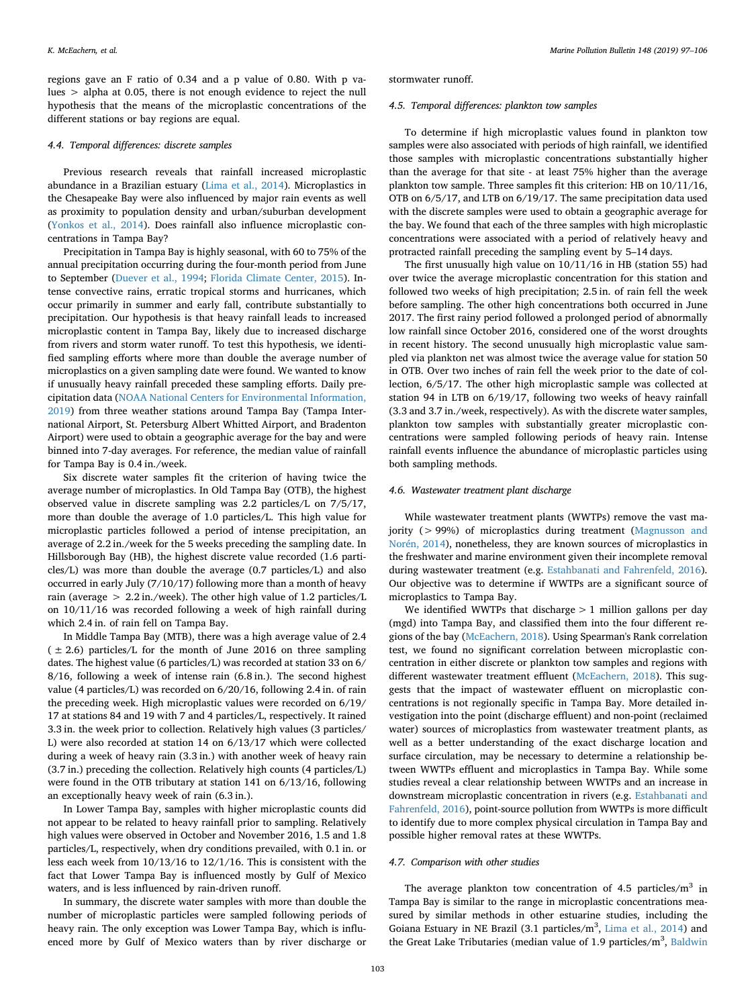regions gave an F ratio of 0.34 and a p value of 0.80. With p values > alpha at 0.05, there is not enough evidence to reject the null hypothesis that the means of the microplastic concentrations of the different stations or bay regions are equal.

#### *4.4. Temporal differences: discrete samples*

Previous research reveals that rainfall increased microplastic abundance in a Brazilian estuary ([Lima et al., 2014\)](#page-8-32). Microplastics in the Chesapeake Bay were also influenced by major rain events as well as proximity to population density and urban/suburban development ([Yonkos et al., 2014](#page-8-33)). Does rainfall also influence microplastic concentrations in Tampa Bay?

Precipitation in Tampa Bay is highly seasonal, with 60 to 75% of the annual precipitation occurring during the four-month period from June to September [\(Duever et al., 1994;](#page-8-34) [Florida Climate Center, 2015\)](#page-8-35). Intense convective rains, erratic tropical storms and hurricanes, which occur primarily in summer and early fall, contribute substantially to precipitation. Our hypothesis is that heavy rainfall leads to increased microplastic content in Tampa Bay, likely due to increased discharge from rivers and storm water runoff. To test this hypothesis, we identified sampling efforts where more than double the average number of microplastics on a given sampling date were found. We wanted to know if unusually heavy rainfall preceded these sampling efforts. Daily precipitation data ([NOAA National Centers for Environmental Information,](#page-8-36) [2019\)](#page-8-36) from three weather stations around Tampa Bay (Tampa International Airport, St. Petersburg Albert Whitted Airport, and Bradenton Airport) were used to obtain a geographic average for the bay and were binned into 7-day averages. For reference, the median value of rainfall for Tampa Bay is 0.4 in./week.

Six discrete water samples fit the criterion of having twice the average number of microplastics. In Old Tampa Bay (OTB), the highest observed value in discrete sampling was 2.2 particles/L on 7/5/17, more than double the average of 1.0 particles/L. This high value for microplastic particles followed a period of intense precipitation, an average of 2.2 in./week for the 5 weeks preceding the sampling date. In Hillsborough Bay (HB), the highest discrete value recorded (1.6 particles/L) was more than double the average (0.7 particles/L) and also occurred in early July (7/10/17) following more than a month of heavy rain (average  $> 2.2$  in./week). The other high value of 1.2 particles/L on 10/11/16 was recorded following a week of high rainfall during which 2.4 in. of rain fell on Tampa Bay.

In Middle Tampa Bay (MTB), there was a high average value of 2.4  $(± 2.6)$  particles/L for the month of June 2016 on three sampling dates. The highest value (6 particles/L) was recorded at station 33 on 6/ 8/16, following a week of intense rain (6.8 in.). The second highest value (4 particles/L) was recorded on 6/20/16, following 2.4 in. of rain the preceding week. High microplastic values were recorded on 6/19/ 17 at stations 84 and 19 with 7 and 4 particles/L, respectively. It rained 3.3 in. the week prior to collection. Relatively high values (3 particles/ L) were also recorded at station 14 on 6/13/17 which were collected during a week of heavy rain (3.3 in.) with another week of heavy rain (3.7 in.) preceding the collection. Relatively high counts (4 particles/L) were found in the OTB tributary at station 141 on 6/13/16, following an exceptionally heavy week of rain (6.3 in.).

In Lower Tampa Bay, samples with higher microplastic counts did not appear to be related to heavy rainfall prior to sampling. Relatively high values were observed in October and November 2016, 1.5 and 1.8 particles/L, respectively, when dry conditions prevailed, with 0.1 in. or less each week from 10/13/16 to 12/1/16. This is consistent with the fact that Lower Tampa Bay is influenced mostly by Gulf of Mexico waters, and is less influenced by rain-driven runoff.

In summary, the discrete water samples with more than double the number of microplastic particles were sampled following periods of heavy rain. The only exception was Lower Tampa Bay, which is influenced more by Gulf of Mexico waters than by river discharge or

stormwater runoff.

#### *4.5. Temporal differences: plankton tow samples*

To determine if high microplastic values found in plankton tow samples were also associated with periods of high rainfall, we identified those samples with microplastic concentrations substantially higher than the average for that site - at least 75% higher than the average plankton tow sample. Three samples fit this criterion: HB on 10/11/16, OTB on 6/5/17, and LTB on 6/19/17. The same precipitation data used with the discrete samples were used to obtain a geographic average for the bay. We found that each of the three samples with high microplastic concentrations were associated with a period of relatively heavy and protracted rainfall preceding the sampling event by 5–14 days.

The first unusually high value on 10/11/16 in HB (station 55) had over twice the average microplastic concentration for this station and followed two weeks of high precipitation; 2.5 in. of rain fell the week before sampling. The other high concentrations both occurred in June 2017. The first rainy period followed a prolonged period of abnormally low rainfall since October 2016, considered one of the worst droughts in recent history. The second unusually high microplastic value sampled via plankton net was almost twice the average value for station 50 in OTB. Over two inches of rain fell the week prior to the date of collection, 6/5/17. The other high microplastic sample was collected at station 94 in LTB on 6/19/17, following two weeks of heavy rainfall (3.3 and 3.7 in./week, respectively). As with the discrete water samples, plankton tow samples with substantially greater microplastic concentrations were sampled following periods of heavy rain. Intense rainfall events influence the abundance of microplastic particles using both sampling methods.

#### *4.6. Wastewater treatment plant discharge*

While wastewater treatment plants (WWTPs) remove the vast majority (> 99%) of microplastics during treatment [\(Magnusson and](#page-8-37) [Norén, 2014](#page-8-37)), nonetheless, they are known sources of microplastics in the freshwater and marine environment given their incomplete removal during wastewater treatment (e.g. [Estahbanati and Fahrenfeld, 2016](#page-8-38)). Our objective was to determine if WWTPs are a significant source of microplastics to Tampa Bay.

We identified WWTPs that discharge  $> 1$  million gallons per day (mgd) into Tampa Bay, and classified them into the four different regions of the bay ([McEachern, 2018](#page-8-27)). Using Spearman's Rank correlation test, we found no significant correlation between microplastic concentration in either discrete or plankton tow samples and regions with different wastewater treatment effluent [\(McEachern, 2018\)](#page-8-27). This suggests that the impact of wastewater effluent on microplastic concentrations is not regionally specific in Tampa Bay. More detailed investigation into the point (discharge effluent) and non-point (reclaimed water) sources of microplastics from wastewater treatment plants, as well as a better understanding of the exact discharge location and surface circulation, may be necessary to determine a relationship between WWTPs effluent and microplastics in Tampa Bay. While some studies reveal a clear relationship between WWTPs and an increase in downstream microplastic concentration in rivers (e.g. [Estahbanati and](#page-8-38) [Fahrenfeld, 2016\)](#page-8-38), point-source pollution from WWTPs is more difficult to identify due to more complex physical circulation in Tampa Bay and possible higher removal rates at these WWTPs.

#### *4.7. Comparison with other studies*

The average plankton tow concentration of 4.5 particles/ $m<sup>3</sup>$  in Tampa Bay is similar to the range in microplastic concentrations measured by similar methods in other estuarine studies, including the Goiana Estuary in NE Brazil (3.1 particles/ $m<sup>3</sup>$ , [Lima et al., 2014\)](#page-8-32) and the Great Lake Tributaries (median value of 1.9 particles/m<sup>3</sup>, [Baldwin](#page-8-39)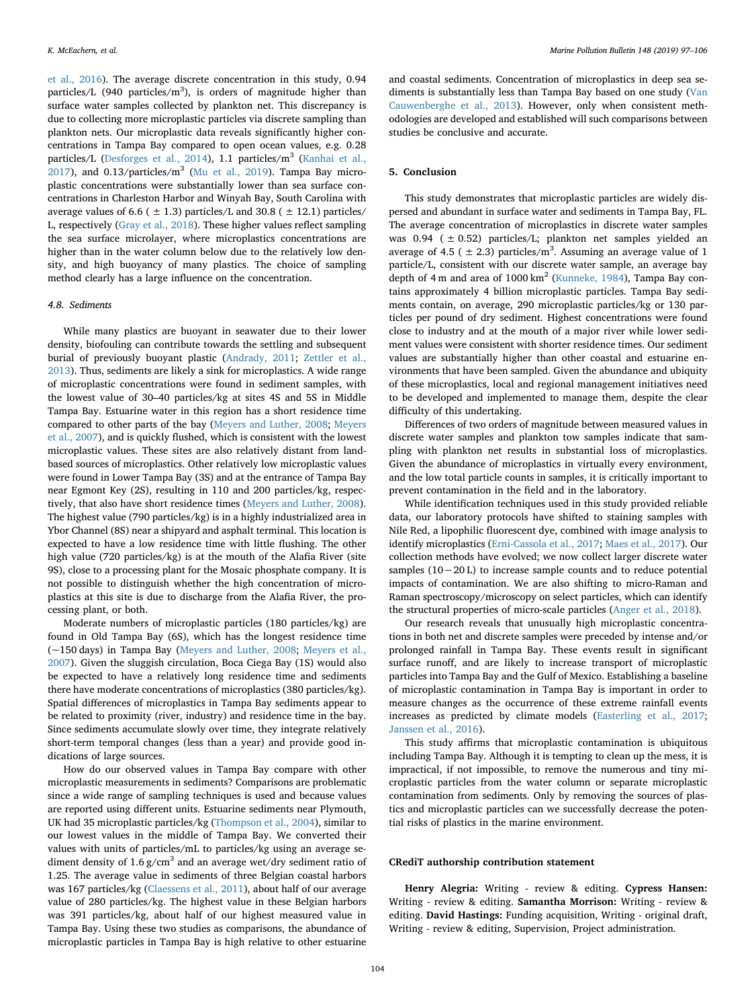[et al., 2016](#page-8-39)). The average discrete concentration in this study, 0.94 particles/L (940 particles/m<sup>3</sup>), is orders of magnitude higher than surface water samples collected by plankton net. This discrepancy is due to collecting more microplastic particles via discrete sampling than plankton nets. Our microplastic data reveals significantly higher concentrations in Tampa Bay compared to open ocean values, e.g. 0.28 particles/L ([Desforges et al., 2014\)](#page-8-40), 1.1 particles/m<sup>3</sup> ([Kanhai et al.,](#page-8-41) [2017\)](#page-8-41), and  $0.13$ /particles/m<sup>3</sup> [\(Mu et al., 2019](#page-8-42)). Tampa Bay microplastic concentrations were substantially lower than sea surface concentrations in Charleston Harbor and Winyah Bay, South Carolina with average values of 6.6 ( $\pm$  1.3) particles/L and 30.8 ( $\pm$  12.1) particles/ L, respectively ([Gray et al., 2018\)](#page-8-10). These higher values reflect sampling the sea surface microlayer, where microplastics concentrations are higher than in the water column below due to the relatively low density, and high buoyancy of many plastics. The choice of sampling method clearly has a large influence on the concentration.

## *4.8. Sediments*

While many plastics are buoyant in seawater due to their lower density, biofouling can contribute towards the settling and subsequent burial of previously buoyant plastic [\(Andrady, 2011;](#page-8-43) [Zettler et al.,](#page-9-2) [2013\)](#page-9-2). Thus, sediments are likely a sink for microplastics. A wide range of microplastic concentrations were found in sediment samples, with the lowest value of 30–40 particles/kg at sites 4S and 5S in Middle Tampa Bay. Estuarine water in this region has a short residence time compared to other parts of the bay ([Meyers and Luther, 2008](#page-8-23); [Meyers](#page-8-44) [et al., 2007](#page-8-44)), and is quickly flushed, which is consistent with the lowest microplastic values. These sites are also relatively distant from landbased sources of microplastics. Other relatively low microplastic values were found in Lower Tampa Bay (3S) and at the entrance of Tampa Bay near Egmont Key (2S), resulting in 110 and 200 particles/kg, respectively, that also have short residence times ([Meyers and Luther, 2008](#page-8-23)). The highest value (790 particles/kg) is in a highly industrialized area in Ybor Channel (8S) near a shipyard and asphalt terminal. This location is expected to have a low residence time with little flushing. The other high value (720 particles/kg) is at the mouth of the Alafia River (site 9S), close to a processing plant for the Mosaic phosphate company. It is not possible to distinguish whether the high concentration of microplastics at this site is due to discharge from the Alafia River, the processing plant, or both.

Moderate numbers of microplastic particles (180 particles/kg) are found in Old Tampa Bay (6S), which has the longest residence time (~150 days) in Tampa Bay ([Meyers and Luther, 2008;](#page-8-23) [Meyers et al.,](#page-8-44) [2007\)](#page-8-44). Given the sluggish circulation, Boca Ciega Bay (1S) would also be expected to have a relatively long residence time and sediments there have moderate concentrations of microplastics (380 particles/kg). Spatial differences of microplastics in Tampa Bay sediments appear to be related to proximity (river, industry) and residence time in the bay. Since sediments accumulate slowly over time, they integrate relatively short-term temporal changes (less than a year) and provide good indications of large sources.

How do our observed values in Tampa Bay compare with other microplastic measurements in sediments? Comparisons are problematic since a wide range of sampling techniques is used and because values are reported using different units. Estuarine sediments near Plymouth, UK had 35 microplastic particles/kg [\(Thompson et al., 2004\)](#page-8-45), similar to our lowest values in the middle of Tampa Bay. We converted their values with units of particles/mL to particles/kg using an average sediment density of  $1.6 \text{ g/cm}^3$  and an average wet/dry sediment ratio of 1.25. The average value in sediments of three Belgian coastal harbors was 167 particles/kg ([Claessens et al., 2011](#page-8-46)), about half of our average value of 280 particles/kg. The highest value in these Belgian harbors was 391 particles/kg, about half of our highest measured value in Tampa Bay. Using these two studies as comparisons, the abundance of microplastic particles in Tampa Bay is high relative to other estuarine

and coastal sediments. Concentration of microplastics in deep sea sediments is substantially less than Tampa Bay based on one study ([Van](#page-8-9) [Cauwenberghe et al., 2013](#page-8-9)). However, only when consistent methodologies are developed and established will such comparisons between studies be conclusive and accurate.

## **5. Conclusion**

This study demonstrates that microplastic particles are widely dispersed and abundant in surface water and sediments in Tampa Bay, FL. The average concentration of microplastics in discrete water samples was 0.94 ( $\pm$  0.52) particles/L; plankton net samples vielded an average of 4.5 ( $\pm$  2.3) particles/m<sup>3</sup>. Assuming an average value of 1 particle/L, consistent with our discrete water sample, an average bay depth of 4 m and area of 1000 km<sup>2</sup> [\(Kunneke, 1984\)](#page-8-47), Tampa Bay contains approximately 4 billion microplastic particles. Tampa Bay sediments contain, on average, 290 microplastic particles/kg or 130 particles per pound of dry sediment. Highest concentrations were found close to industry and at the mouth of a major river while lower sediment values were consistent with shorter residence times. Our sediment values are substantially higher than other coastal and estuarine environments that have been sampled. Given the abundance and ubiquity of these microplastics, local and regional management initiatives need to be developed and implemented to manage them, despite the clear difficulty of this undertaking.

Differences of two orders of magnitude between measured values in discrete water samples and plankton tow samples indicate that sampling with plankton net results in substantial loss of microplastics. Given the abundance of microplastics in virtually every environment, and the low total particle counts in samples, it is critically important to prevent contamination in the field and in the laboratory.

While identification techniques used in this study provided reliable data, our laboratory protocols have shifted to staining samples with Nile Red, a lipophilic fluorescent dye, combined with image analysis to identify microplastics [\(Erni-Cassola et al., 2017;](#page-8-48) [Maes et al., 2017\)](#page-8-49). Our collection methods have evolved; we now collect larger discrete water samples (10−20 L) to increase sample counts and to reduce potential impacts of contamination. We are also shifting to micro-Raman and Raman spectroscopy/microscopy on select particles, which can identify the structural properties of micro-scale particles [\(Anger et al., 2018\)](#page-8-50).

Our research reveals that unusually high microplastic concentrations in both net and discrete samples were preceded by intense and/or prolonged rainfall in Tampa Bay. These events result in significant surface runoff, and are likely to increase transport of microplastic particles into Tampa Bay and the Gulf of Mexico. Establishing a baseline of microplastic contamination in Tampa Bay is important in order to measure changes as the occurrence of these extreme rainfall events increases as predicted by climate models [\(Easterling et al., 2017](#page-8-51); [Janssen et al., 2016](#page-8-52)).

This study affirms that microplastic contamination is ubiquitous including Tampa Bay. Although it is tempting to clean up the mess, it is impractical, if not impossible, to remove the numerous and tiny microplastic particles from the water column or separate microplastic contamination from sediments. Only by removing the sources of plastics and microplastic particles can we successfully decrease the potential risks of plastics in the marine environment.

## **CRediT authorship contribution statement**

**Henry Alegria:** Writing - review & editing. **Cypress Hansen:** Writing - review & editing. **Samantha Morrison:** Writing - review & editing. **David Hastings:** Funding acquisition, Writing - original draft, Writing - review & editing, Supervision, Project administration.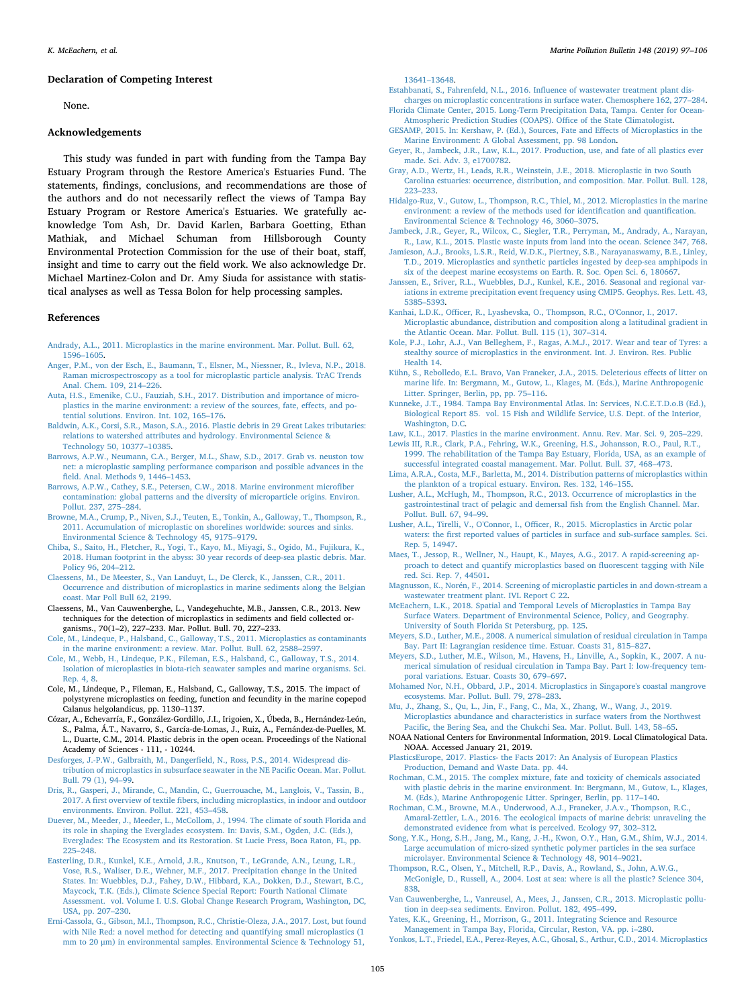#### **Declaration of Competing Interest**

None.

#### **Acknowledgements**

This study was funded in part with funding from the Tampa Bay Estuary Program through the Restore America's Estuaries Fund. The statements, findings, conclusions, and recommendations are those of the authors and do not necessarily reflect the views of Tampa Bay Estuary Program or Restore America's Estuaries. We gratefully acknowledge Tom Ash, Dr. David Karlen, Barbara Goetting, Ethan Mathiak, and Michael Schuman from Hillsborough County Environmental Protection Commission for the use of their boat, staff, insight and time to carry out the field work. We also acknowledge Dr. Michael Martinez-Colon and Dr. Amy Siuda for assistance with statistical analyses as well as Tessa Bolon for help processing samples.

#### **References**

- <span id="page-8-43"></span>[Andrady, A.L., 2011. Microplastics in the marine environment. Mar. Pollut. Bull. 62,](http://refhub.elsevier.com/S0025-326X(19)30608-3/rf0005) [1596–1605](http://refhub.elsevier.com/S0025-326X(19)30608-3/rf0005).
- <span id="page-8-50"></span>[Anger, P.M., von der Esch, E., Baumann, T., Elsner, M., Niessner, R., Ivleva, N.P., 2018.](http://refhub.elsevier.com/S0025-326X(19)30608-3/rf0010) [Raman microspectroscopy as a tool for microplastic particle analysis. TrAC Trends](http://refhub.elsevier.com/S0025-326X(19)30608-3/rf0010) [Anal. Chem. 109, 214–226](http://refhub.elsevier.com/S0025-326X(19)30608-3/rf0010).
- <span id="page-8-11"></span>[Auta, H.S., Emenike, C.U., Fauziah, S.H., 2017. Distribution and importance of micro](http://refhub.elsevier.com/S0025-326X(19)30608-3/rf0015)[plastics in the marine environment: a review of the sources, fate, effects, and po](http://refhub.elsevier.com/S0025-326X(19)30608-3/rf0015)[tential solutions. Environ. Int. 102, 165–176](http://refhub.elsevier.com/S0025-326X(19)30608-3/rf0015).
- <span id="page-8-39"></span>[Baldwin, A.K., Corsi, S.R., Mason, S.A., 2016. Plastic debris in 29 Great Lakes tributaries:](http://refhub.elsevier.com/S0025-326X(19)30608-3/rf0020) [relations to watershed attributes and hydrology. Environmental Science &](http://refhub.elsevier.com/S0025-326X(19)30608-3/rf0020) [Technology 50, 10377–10385.](http://refhub.elsevier.com/S0025-326X(19)30608-3/rf0020)
- <span id="page-8-31"></span>[Barrows, A.P.W., Neumann, C.A., Berger, M.L., Shaw, S.D., 2017. Grab vs. neuston tow](http://refhub.elsevier.com/S0025-326X(19)30608-3/rf0025) [net: a microplastic sampling performance comparison and possible advances in the](http://refhub.elsevier.com/S0025-326X(19)30608-3/rf0025) [field. Anal. Methods 9, 1446–1453.](http://refhub.elsevier.com/S0025-326X(19)30608-3/rf0025)
- <span id="page-8-12"></span>[Barrows, A.P.W., Cathey, S.E., Petersen, C.W., 2018. Marine environment microfiber](http://refhub.elsevier.com/S0025-326X(19)30608-3/rf0030) [contamination: global patterns and the diversity of microparticle origins. Environ.](http://refhub.elsevier.com/S0025-326X(19)30608-3/rf0030) [Pollut. 237, 275–284.](http://refhub.elsevier.com/S0025-326X(19)30608-3/rf0030)
- <span id="page-8-13"></span>[Browne, M.A., Crump, P., Niven, S.J., Teuten, E., Tonkin, A., Galloway, T., Thompson, R.,](http://refhub.elsevier.com/S0025-326X(19)30608-3/rf0035) [2011. Accumulation of microplastic on shorelines worldwide: sources and sinks.](http://refhub.elsevier.com/S0025-326X(19)30608-3/rf0035) [Environmental Science & Technology 45, 9175–9179](http://refhub.elsevier.com/S0025-326X(19)30608-3/rf0035).
- <span id="page-8-7"></span>[Chiba, S., Saito, H., Fletcher, R., Yogi, T., Kayo, M., Miyagi, S., Ogido, M., Fujikura, K.,](http://refhub.elsevier.com/S0025-326X(19)30608-3/rf0040) [2018. Human footprint in the abyss: 30 year records of deep-sea plastic debris. Mar.](http://refhub.elsevier.com/S0025-326X(19)30608-3/rf0040) [Policy 96, 204–212.](http://refhub.elsevier.com/S0025-326X(19)30608-3/rf0040)
- <span id="page-8-46"></span>[Claessens, M., De Meester, S., Van Landuyt, L., De Clerck, K., Janssen, C.R., 2011.](http://refhub.elsevier.com/S0025-326X(19)30608-3/rf0045) [Occurrence and distribution of microplastics in marine sediments along the Belgian](http://refhub.elsevier.com/S0025-326X(19)30608-3/rf0045) [coast. Mar Poll Bull 62, 2199](http://refhub.elsevier.com/S0025-326X(19)30608-3/rf0045).
- <span id="page-8-28"></span>Claessens, M., Van Cauwenberghe, L., Vandegehuchte, M.B., Janssen, C.R., 2013. New techniques for the detection of microplastics in sediments and field collected organisms., 70(1–2), 227–233. Mar. Pollut. Bull. 70, 227–233.
- <span id="page-8-16"></span>[Cole, M., Lindeque, P., Halsband, C., Galloway, T.S., 2011. Microplastics as contaminants](http://refhub.elsevier.com/S0025-326X(19)30608-3/rf0050) [in the marine environment: a review. Mar. Pollut. Bull. 62, 2588–2597.](http://refhub.elsevier.com/S0025-326X(19)30608-3/rf0050)
- <span id="page-8-26"></span>[Cole, M., Webb, H., Lindeque, P.K., Fileman, E.S., Halsband, C., Galloway, T.S., 2014.](http://refhub.elsevier.com/S0025-326X(19)30608-3/rf0055) [Isolation of microplastics in biota-rich seawater samples and marine organisms. Sci.](http://refhub.elsevier.com/S0025-326X(19)30608-3/rf0055) [Rep. 4, 8](http://refhub.elsevier.com/S0025-326X(19)30608-3/rf0055).
- <span id="page-8-19"></span>Cole, M., Lindeque, P., Fileman, E., Halsband, C., Galloway, T.S., 2015. The impact of polystyrene microplastics on feeding, function and fecundity in the marine copepod Calanus helgolandicus, pp. 1130–1137.
- <span id="page-8-5"></span>Cózar, A., Echevarría, F., González-Gordillo, J.I., Irigoien, X., Úbeda, B., Hernández-León, S., Palma, Á.T., Navarro, S., García-de-Lomas, J., Ruiz, A., Fernández-de-Puelles, M. L., Duarte, C.M., 2014. Plastic debris in the open ocean. Proceedings of the National Academy of Sciences - 111, - 10244.
- <span id="page-8-40"></span>[Desforges, J.-P.W., Galbraith, M., Dangerfield, N., Ross, P.S., 2014. Widespread dis](http://refhub.elsevier.com/S0025-326X(19)30608-3/rf0060)[tribution of microplastics in subsurface seawater in the NE Pacific Ocean. Mar. Pollut.](http://refhub.elsevier.com/S0025-326X(19)30608-3/rf0060) [Bull. 79 \(1\), 94–99.](http://refhub.elsevier.com/S0025-326X(19)30608-3/rf0060)
- <span id="page-8-14"></span>[Dris, R., Gasperi, J., Mirande, C., Mandin, C., Guerrouache, M., Langlois, V., Tassin, B.,](http://refhub.elsevier.com/S0025-326X(19)30608-3/rf0065) [2017. A first overview of textile fibers, including microplastics, in indoor and outdoor](http://refhub.elsevier.com/S0025-326X(19)30608-3/rf0065) [environments. Environ. Pollut. 221, 453–458](http://refhub.elsevier.com/S0025-326X(19)30608-3/rf0065).
- <span id="page-8-34"></span>[Duever, M., Meeder, J., Meeder, L., McCollom, J., 1994. The climate of south Florida and](http://refhub.elsevier.com/S0025-326X(19)30608-3/rf0070) [its role in shaping the Everglades ecosystem. In: Davis, S.M., Ogden, J.C. \(Eds.\),](http://refhub.elsevier.com/S0025-326X(19)30608-3/rf0070) [Everglades: The Ecosystem and its Restoration. St Lucie Press, Boca Raton, FL, pp.](http://refhub.elsevier.com/S0025-326X(19)30608-3/rf0070) [225–248](http://refhub.elsevier.com/S0025-326X(19)30608-3/rf0070).
- <span id="page-8-51"></span>[Easterling, D.R., Kunkel, K.E., Arnold, J.R., Knutson, T., LeGrande, A.N., Leung, L.R.,](http://refhub.elsevier.com/S0025-326X(19)30608-3/rf0075) [Vose, R.S., Waliser, D.E., Wehner, M.F., 2017. Precipitation change in the United](http://refhub.elsevier.com/S0025-326X(19)30608-3/rf0075) [States. In: Wuebbles, D.J., Fahey, D.W., Hibbard, K.A., Dokken, D.J., Stewart, B.C.,](http://refhub.elsevier.com/S0025-326X(19)30608-3/rf0075) [Maycock, T.K. \(Eds.\), Climate Science Special Report: Fourth National Climate](http://refhub.elsevier.com/S0025-326X(19)30608-3/rf0075) [Assessment. vol. Volume I. U.S. Global Change Research Program, Washington, DC,](http://refhub.elsevier.com/S0025-326X(19)30608-3/rf0075) [USA, pp. 207–230](http://refhub.elsevier.com/S0025-326X(19)30608-3/rf0075).
- <span id="page-8-48"></span>[Erni-Cassola, G., Gibson, M.I., Thompson, R.C., Christie-Oleza, J.A., 2017. Lost, but found](http://refhub.elsevier.com/S0025-326X(19)30608-3/rf0085) [with Nile Red: a novel method for detecting and quantifying small microplastics \(1](http://refhub.elsevier.com/S0025-326X(19)30608-3/rf0085) [mm to 20 μm\) in environmental samples. Environmental Science & Technology 51,](http://refhub.elsevier.com/S0025-326X(19)30608-3/rf0085)

#### *K. McEachern, et al. Marine Pollution Bulletin 148 (2019) 97–106*

#### [13641–13648.](http://refhub.elsevier.com/S0025-326X(19)30608-3/rf0085)

<span id="page-8-38"></span>[Estahbanati, S., Fahrenfeld, N.L., 2016. Influence of wastewater treatment plant dis](http://refhub.elsevier.com/S0025-326X(19)30608-3/rf0090)[charges on microplastic concentrations in surface water. Chemosphere 162, 277–284.](http://refhub.elsevier.com/S0025-326X(19)30608-3/rf0090)

- <span id="page-8-35"></span>[Florida Climate Center, 2015. Long-Term Precipitation Data, Tampa. Center for Ocean-](http://refhub.elsevier.com/S0025-326X(19)30608-3/rf0095)[Atmospheric Prediction Studies \(COAPS\). Office of the State Climatologist.](http://refhub.elsevier.com/S0025-326X(19)30608-3/rf0095)
- <span id="page-8-4"></span>[GESAMP, 2015. In: Kershaw, P. \(Ed.\), Sources, Fate and Effects of Microplastics in the](http://refhub.elsevier.com/S0025-326X(19)30608-3/rf0100) [Marine Environment: A Global Assessment, pp. 98 London](http://refhub.elsevier.com/S0025-326X(19)30608-3/rf0100).
- <span id="page-8-2"></span>[Geyer, R., Jambeck, J.R., Law, K.L., 2017. Production, use, and fate of all plastics ever](http://refhub.elsevier.com/S0025-326X(19)30608-3/rf0105) [made. Sci. Adv. 3, e1700782.](http://refhub.elsevier.com/S0025-326X(19)30608-3/rf0105)
- <span id="page-8-10"></span>[Gray, A.D., Wertz, H., Leads, R.R., Weinstein, J.E., 2018. Microplastic in two South](http://refhub.elsevier.com/S0025-326X(19)30608-3/rf0110) [Carolina estuaries: occurrence, distribution, and composition. Mar. Pollut. Bull. 128,](http://refhub.elsevier.com/S0025-326X(19)30608-3/rf0110) [223–233](http://refhub.elsevier.com/S0025-326X(19)30608-3/rf0110).
- <span id="page-8-29"></span>[Hidalgo-Ruz, V., Gutow, L., Thompson, R.C., Thiel, M., 2012. Microplastics in the marine](http://refhub.elsevier.com/S0025-326X(19)30608-3/rf0115) [environment: a review of the methods used for identification and quantification.](http://refhub.elsevier.com/S0025-326X(19)30608-3/rf0115) [Environmental Science & Technology 46, 3060–3075.](http://refhub.elsevier.com/S0025-326X(19)30608-3/rf0115)
- <span id="page-8-3"></span>[Jambeck, J.R., Geyer, R., Wilcox, C., Siegler, T.R., Perryman, M., Andrady, A., Narayan,](http://refhub.elsevier.com/S0025-326X(19)30608-3/rf0120) [R., Law, K.L., 2015. Plastic waste inputs from land into the ocean. Science 347, 768.](http://refhub.elsevier.com/S0025-326X(19)30608-3/rf0120)
- <span id="page-8-18"></span>[Jamieson, A.J., Brooks, L.S.R., Reid, W.D.K., Piertney, S.B., Narayanaswamy, B.E., Linley,](http://refhub.elsevier.com/S0025-326X(19)30608-3/rf0125) [T.D., 2019. Microplastics and synthetic particles ingested by deep-sea amphipods in](http://refhub.elsevier.com/S0025-326X(19)30608-3/rf0125) [six of the deepest marine ecosystems on Earth. R. Soc. Open Sci. 6, 180667](http://refhub.elsevier.com/S0025-326X(19)30608-3/rf0125).
- <span id="page-8-52"></span>[Janssen, E., Sriver, R.L., Wuebbles, D.J., Kunkel, K.E., 2016. Seasonal and regional var](http://refhub.elsevier.com/S0025-326X(19)30608-3/rf0130)[iations in extreme precipitation event frequency using CMIP5. Geophys. Res. Lett. 43,](http://refhub.elsevier.com/S0025-326X(19)30608-3/rf0130) [5385–5393](http://refhub.elsevier.com/S0025-326X(19)30608-3/rf0130).
- <span id="page-8-41"></span>[Kanhai, L.D.K., Officer, R., Lyashevska, O., Thompson, R.C., O'Connor, I., 2017.](http://refhub.elsevier.com/S0025-326X(19)30608-3/rf0135) [Microplastic abundance, distribution and composition along a latitudinal gradient in](http://refhub.elsevier.com/S0025-326X(19)30608-3/rf0135) [the Atlantic Ocean. Mar. Pollut. Bull. 115 \(1\), 307–314.](http://refhub.elsevier.com/S0025-326X(19)30608-3/rf0135)
- <span id="page-8-15"></span>[Kole, P.J., Lohr, A.J., Van Belleghem, F., Ragas, A.M.J., 2017. Wear and tear of Tyres: a](http://refhub.elsevier.com/S0025-326X(19)30608-3/rf0140) [stealthy source of microplastics in the environment. Int. J. Environ. Res. Public](http://refhub.elsevier.com/S0025-326X(19)30608-3/rf0140) [Health 14.](http://refhub.elsevier.com/S0025-326X(19)30608-3/rf0140)
- <span id="page-8-20"></span>[Kühn, S., Rebolledo, E.L. Bravo, Van Franeker, J.A., 2015. Deleterious effects of litter on](http://refhub.elsevier.com/S0025-326X(19)30608-3/rf0145) [marine life. In: Bergmann, M., Gutow, L., Klages, M. \(Eds.\), Marine Anthropogenic](http://refhub.elsevier.com/S0025-326X(19)30608-3/rf0145) [Litter. Springer, Berlin, pp, pp. 75–116.](http://refhub.elsevier.com/S0025-326X(19)30608-3/rf0145)
- <span id="page-8-47"></span>[Kunneke, J.T., 1984. Tampa Bay Environmental Atlas. In: Services, N.C.E.T.D.o.B \(Ed.\),](http://refhub.elsevier.com/S0025-326X(19)30608-3/rf0150) [Biological Report 85. vol. 15 Fish and Wildlife Service, U.S. Dept. of the Interior,](http://refhub.elsevier.com/S0025-326X(19)30608-3/rf0150) [Washington, D.C](http://refhub.elsevier.com/S0025-326X(19)30608-3/rf0150).
- <span id="page-8-0"></span>[Law, K.L., 2017. Plastics in the marine environment. Annu. Rev. Mar. Sci. 9, 205–229](http://refhub.elsevier.com/S0025-326X(19)30608-3/rf0155).
- <span id="page-8-24"></span>[Lewis III, R.R., Clark, P.A., Fehring, W.K., Greening, H.S., Johansson, R.O., Paul, R.T.,](http://refhub.elsevier.com/S0025-326X(19)30608-3/rf0160) [1999. The rehabilitation of the Tampa Bay Estuary, Florida, USA, as an example of](http://refhub.elsevier.com/S0025-326X(19)30608-3/rf0160) [successful integrated coastal management. Mar. Pollut. Bull. 37, 468–473](http://refhub.elsevier.com/S0025-326X(19)30608-3/rf0160).
- <span id="page-8-32"></span>[Lima, A.R.A., Costa, M.F., Barletta, M., 2014. Distribution patterns of microplastics within](http://refhub.elsevier.com/S0025-326X(19)30608-3/rf0165) [the plankton of a tropical estuary. Environ. Res. 132, 146–155](http://refhub.elsevier.com/S0025-326X(19)30608-3/rf0165).
- <span id="page-8-17"></span>[Lusher, A.L., McHugh, M., Thompson, R.C., 2013. Occurrence of microplastics in the](http://refhub.elsevier.com/S0025-326X(19)30608-3/rf0170) [gastrointestinal tract of pelagic and demersal fish from the English Channel. Mar.](http://refhub.elsevier.com/S0025-326X(19)30608-3/rf0170) [Pollut. Bull. 67, 94–99](http://refhub.elsevier.com/S0025-326X(19)30608-3/rf0170).
- <span id="page-8-6"></span>[Lusher, A.L., Tirelli, V., O'Connor, I., Officer, R., 2015. Microplastics in Arctic polar](http://refhub.elsevier.com/S0025-326X(19)30608-3/rf0175) [waters: the first reported values of particles in surface and sub-surface samples. Sci.](http://refhub.elsevier.com/S0025-326X(19)30608-3/rf0175) [Rep. 5, 14947.](http://refhub.elsevier.com/S0025-326X(19)30608-3/rf0175)
- <span id="page-8-49"></span>[Maes, T., Jessop, R., Wellner, N., Haupt, K., Mayes, A.G., 2017. A rapid-screening ap](http://refhub.elsevier.com/S0025-326X(19)30608-3/rf0180)[proach to detect and quantify microplastics based on fluorescent tagging with Nile](http://refhub.elsevier.com/S0025-326X(19)30608-3/rf0180) [red. Sci. Rep. 7, 44501](http://refhub.elsevier.com/S0025-326X(19)30608-3/rf0180).
- <span id="page-8-37"></span>[Magnusson, K., Norén, F., 2014. Screening of microplastic particles in and down-stream a](http://refhub.elsevier.com/S0025-326X(19)30608-3/rf0185) [wastewater treatment plant. IVL Report C 22](http://refhub.elsevier.com/S0025-326X(19)30608-3/rf0185).
- <span id="page-8-27"></span>[McEachern, L.K., 2018. Spatial and Temporal Levels of Microplastics in Tampa Bay](http://refhub.elsevier.com/S0025-326X(19)30608-3/rf0190) [Surface Waters. Department of Environmental Science, Policy, and Geography.](http://refhub.elsevier.com/S0025-326X(19)30608-3/rf0190) [University of South Florida St Petersburg, pp. 125](http://refhub.elsevier.com/S0025-326X(19)30608-3/rf0190).
- <span id="page-8-23"></span>[Meyers, S.D., Luther, M.E., 2008. A numerical simulation of residual circulation in Tampa](http://refhub.elsevier.com/S0025-326X(19)30608-3/rf0195) [Bay. Part II: Lagrangian residence time. Estuar. Coasts 31, 815–827](http://refhub.elsevier.com/S0025-326X(19)30608-3/rf0195).
- <span id="page-8-44"></span>[Meyers, S.D., Luther, M.E., Wilson, M., Havens, H., Linville, A., Sopkin, K., 2007. A nu](http://refhub.elsevier.com/S0025-326X(19)30608-3/rf0200)[merical simulation of residual circulation in Tampa Bay. Part I: low-frequency tem](http://refhub.elsevier.com/S0025-326X(19)30608-3/rf0200)[poral variations. Estuar. Coasts 30, 679–697.](http://refhub.elsevier.com/S0025-326X(19)30608-3/rf0200)
- <span id="page-8-8"></span>[Mohamed Nor, N.H., Obbard, J.P., 2014. Microplastics in Singapore's coastal mangrove](http://refhub.elsevier.com/S0025-326X(19)30608-3/rf0205) [ecosystems. Mar. Pollut. Bull. 79, 278–283.](http://refhub.elsevier.com/S0025-326X(19)30608-3/rf0205)
- <span id="page-8-42"></span>[Mu, J., Zhang, S., Qu, L., Jin, F., Fang, C., Ma, X., Zhang, W., Wang, J., 2019.](http://refhub.elsevier.com/S0025-326X(19)30608-3/rf0210) [Microplastics abundance and characteristics in surface waters from the Northwest](http://refhub.elsevier.com/S0025-326X(19)30608-3/rf0210) [Pacific, the Bering Sea, and the Chukchi Sea. Mar. Pollut. Bull. 143, 58–65](http://refhub.elsevier.com/S0025-326X(19)30608-3/rf0210).
- <span id="page-8-36"></span>NOAA National Centers for Environmental Information, 2019. Local Climatological Data. NOAA. Accessed January 21, 2019.
- <span id="page-8-1"></span>[PlasticsEurope, 2017. Plastics- the Facts 2017: An Analysis of European Plastics](http://refhub.elsevier.com/S0025-326X(19)30608-3/rf0215) [Production, Demand and Waste Data. pp. 44.](http://refhub.elsevier.com/S0025-326X(19)30608-3/rf0215)
- <span id="page-8-21"></span>[Rochman, C.M., 2015. The complex mixture, fate and toxicity of chemicals associated](http://refhub.elsevier.com/S0025-326X(19)30608-3/rf0220) [with plastic debris in the marine environment. In: Bergmann, M., Gutow, L., Klages,](http://refhub.elsevier.com/S0025-326X(19)30608-3/rf0220) [M. \(Eds.\), Marine Anthropogenic Litter. Springer, Berlin, pp. 117–140.](http://refhub.elsevier.com/S0025-326X(19)30608-3/rf0220)
- <span id="page-8-22"></span>[Rochman, C.M., Browne, M.A., Underwood, A.J., Franeker, J.A.v., Thompson, R.C.,](http://refhub.elsevier.com/S0025-326X(19)30608-3/rf0225) [Amaral-Zettler, L.A., 2016. The ecological impacts of marine debris: unraveling the](http://refhub.elsevier.com/S0025-326X(19)30608-3/rf0225) [demonstrated evidence from what is perceived. Ecology 97, 302–312.](http://refhub.elsevier.com/S0025-326X(19)30608-3/rf0225)
- <span id="page-8-30"></span>[Song, Y.K., Hong, S.H., Jang, M., Kang, J.-H., Kwon, O.Y., Han, G.M., Shim, W.J., 2014.](http://refhub.elsevier.com/S0025-326X(19)30608-3/rf0230) [Large accumulation of micro-sized synthetic polymer particles in the sea surface](http://refhub.elsevier.com/S0025-326X(19)30608-3/rf0230) [microlayer. Environmental Science & Technology 48, 9014–9021](http://refhub.elsevier.com/S0025-326X(19)30608-3/rf0230).
- <span id="page-8-45"></span>[Thompson, R.C., Olsen, Y., Mitchell, R.P., Davis, A., Rowland, S., John, A.W.G.,](http://refhub.elsevier.com/S0025-326X(19)30608-3/rf0235) [McGonigle, D., Russell, A., 2004. Lost at sea: where is all the plastic? Science 304,](http://refhub.elsevier.com/S0025-326X(19)30608-3/rf0235) [838](http://refhub.elsevier.com/S0025-326X(19)30608-3/rf0235).
- <span id="page-8-9"></span>[Van Cauwenberghe, L., Vanreusel, A., Mees, J., Janssen, C.R., 2013. Microplastic pollu](http://refhub.elsevier.com/S0025-326X(19)30608-3/rf0240)[tion in deep-sea sediments. Environ. Pollut. 182, 495–499](http://refhub.elsevier.com/S0025-326X(19)30608-3/rf0240).
- <span id="page-8-25"></span>[Yates, K.K., Greening, H., Morrison, G., 2011. Integrating Science and Resource](http://refhub.elsevier.com/S0025-326X(19)30608-3/rf0245) [Management in Tampa Bay, Florida, Circular, Reston, VA. pp. i–280.](http://refhub.elsevier.com/S0025-326X(19)30608-3/rf0245)
- <span id="page-8-33"></span>[Yonkos, L.T., Friedel, E.A., Perez-Reyes, A.C., Ghosal, S., Arthur, C.D., 2014. Microplastics](http://refhub.elsevier.com/S0025-326X(19)30608-3/rf0250)